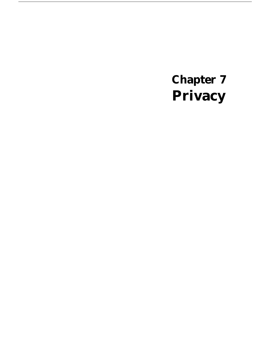# **Chapter 7 Privacy**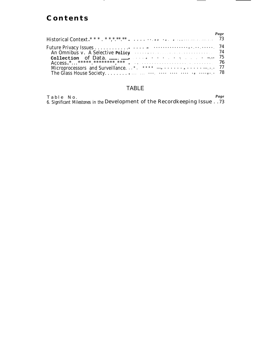# **Content s**

-—

|                                                                                                                |  |  |  |  |  |  |  |  | Page |
|----------------------------------------------------------------------------------------------------------------|--|--|--|--|--|--|--|--|------|
|                                                                                                                |  |  |  |  |  |  |  |  |      |
|                                                                                                                |  |  |  |  |  |  |  |  |      |
| An Omnibus v. A Selective policy entertainment and the series of the series of the series of the series of the |  |  |  |  |  |  |  |  |      |
|                                                                                                                |  |  |  |  |  |  |  |  |      |
|                                                                                                                |  |  |  |  |  |  |  |  |      |
|                                                                                                                |  |  |  |  |  |  |  |  |      |
|                                                                                                                |  |  |  |  |  |  |  |  |      |

 $\overline{\phantom{0}}$ —

### TABLE

| Table No. |  |  |                                                                            | Page |  |
|-----------|--|--|----------------------------------------------------------------------------|------|--|
|           |  |  | 6. Significant Milestones in the Development of the Recordkeeping Issue 73 |      |  |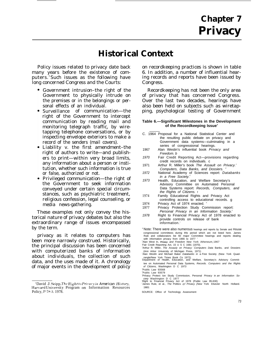# **Historical Context**

Policy issues related to privacy date back many years before the existence of computers.  $1$ Such issues as the following have long concerned Congress and the Courts:

- Government intrusion–the right of the Government to physically intrude on the premises or in the belongings or personal effects of an individual.
- $\bullet$ Surveillance of communication—the right of the Government to intercept communication by reading mail and monitoring telegraph traffic, by wiretapping telephone conversations, or by inspecting envelope exteriors to make a record of the senders (mail covers).
- $\bullet$ Liability v. the first amendment–the right of authors to write—and publishers to print—within very broad limits, any information about a person or institution, whether such information is true or false, authorized or not.
- Privileged communication—the right of the Government to seek information conveyed under certain special circumstances, such as psychiatric treatment, religious confession, legal counseling, or media news-gathering.

These examples not only convey the historical nature of privacy debates but also the extraordinary range of issues encompassed by the term.

privacy as it relates to computers has been more narrowly construed. Historically, the principal discussion has been concerned with computerized banks of information about individuals, the collection of such data, and the uses made of it. A chronology of major events in the development of policy

on recordkeeping practices is shown in table 6. In addition, a number of influential hearing records and reports have been issued by Congress.

Recordkeeping has not been the only area of privacy that has concerned Congress. Over the last two decades, hearings have also been held on subjects such as wiretapping, psychological testing of Government

#### **Table 6.—Significant Milestones in the Development of the Recordkeeping Issue<sup>a</sup>**

- C. 1964 Proposal for a National Statistical Center and the resulting public debate on privacy and Government data systems—culminating in a series of congressional hearings. 1967 Alan Westin's influential book Privacy and Freedom. b
- 1970 Fair Credit Reporting Act—provisions regarding credit records on individuals. c
- 1971 Arthur R. Miller's book The Assault on Privacy.' Computers, Data Banks, and Dossiers.
- 1972 National Academy of Sciences report: Databanks in a Free Society.
- 1973 Health, Education, and Welfare Secretary's Advisory Committee on Automated Personal Data Systems report: Records, Computers, and the Rights of Citizens. f
- 1974 Family Educational Rights and Privacy Act controlling access to educational records. g
- 1974 Privacy Act of 1974 enacted.
- 1977 Privacy Protection Study Commission report: Personal Privacy in an Information Society.
- 1978 Right to Financial Privacy Act of 1978 enacted to provide controls on release of bank information.<sup>j</sup>

<sup>a-</sup>Note: There were also numerous hearings and reports by Senate and House congressional committees during thls period which are not Iisted here. James Rule and collaborators list 60 major Committee hearings and reports dealing

with information privacy from 1966 to 1977 <sup>\*</sup><br><sup>6</sup>Alan West In, *Privacy and Freedom New* York Atheneum, 1967

- 
- 'Privacy Protect Ion Study Commission, Personal *Privacy* in a*n Information Society* Washington D C 1977<br>'Right to Financial Privacy Act of 1978 (Public Law 95-630)<br>'Right to Financial Privacy Act of 1978 (Public Law 95-6
- 19801

<sup>&#</sup>x27;David J. Seipp, The Right to Privacy in American History, Harvard University Program on Information Resources Policy, P-7R-3, 1978.

c Fair Credit Reporting Act, 15 U S C 1681 (1970).

<sup>&</sup>lt;sup>4</sup>Arthur R. Miller, The Assauly on Privacy: Cornputers Data Banks, and Dossiers (Ann Arbor University of Michigan Press, 1971)<br><sup>\*</sup>Alan Westln and Michael Baker *Databanks in a Free* Society (New York Quad-

rangle/New York Times Book Co 1972). fDepartment of Health, Education, and Welfare, Secretary's Advisory Commit-

tee on Automated Personal Data Systems, Records. Computers and the Rlghts of Citizens, Washington D C 1973

<sup>&</sup>lt;sup>'</sup>Public Law 93568 Public Law 93579

SOURCE: Office of Technology Assessment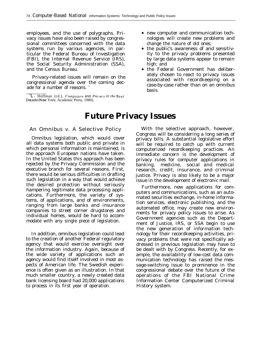employees, and the use of polygraphs. Privacy issues have also been raised by congressional committees concerned with the data systems run by various agencies, in particular the Federal Bureau of Investigation (FBI), the Internal Revenue Service (IRS), the Social Security Administration (SSA), and the Census Bureau.

Privacy-related issues will remain on the congressional agenda over the coming decade for a number of reasons. <sup>z</sup>

<sup>2</sup>**L.** Hoffman (cd.), *Computers and Privacy in the Next Decade (New* York: Academic Press, 1980).

- new computer and communication technologies will create new problems and change the nature of old ones;
- the public's awareness of and sensitivity to the privacy problems presented by large data systems appear to remain high; and
- the Federal Government has deliberately chosen to react to privacy issues associated with recordkeeping on a case-by-case rather than on an omnibus basis.

## **Future Privacy Issues**

### An Omnibus v. A Selective Policy

Omnibus legislation, which would cover all data systems both public and private in which personal information is maintained, is the approach European nations have taken. In the United States this approach has been rejected by the Privacy Commission and the executive branch for several reasons. First, there would be serious difficulties in drafting such legislation in a way that would achieve the desired protection without seriously hampering legitimate data processing applications. Furthermore, the variety of systems, of applications, and of environments, ranging from large banks and insurance companies to street corner drugstores and individual homes, would be hard to accommodate with any single piece of legislation.

In addition, omnibus legislation could lead to the creation of another Federal regulatory agency that would exercise oversight over the information industry. Again, because of the wide variety of applications such an agency would find itself involved in most aspects of American life. The Swedish experience is often given as an illustration. In that much smaller country, a newly created data bank licensing board had 20,000 applications to process in its first year of operation.

With the selective approach, however, Congress will be considering a long series of privacy bills. A substantial legislative effort will be required to catch up with current computerized recordkeeping practices. An immediate concern is the development of privacy rules for computer applications in banking, medicine, social and medical research, credit, insurance, and criminal justice. Privacy is also likely to be a major issue in the development of electronic mail.

Furthermore, new applications for computers and communications, such as an automated securities exchange, in-home information services, electronic publishing, and the automated office, may create new environments for privacy policy issues to arise. As Government agencies such as the Department of Justice, IRS, or SSA begin to use the new generation of information technology for their recordkeeping activities, privacy problems that were not specifically addressed in previous legislation may have to be dealt with by Congress. Recently, for example, the availability of low-cost data communication technology has raised the message-switching issue to prominence in the congressional debate over the future of the operations of the FBI National Crime Information Center Computerized Criminal History system.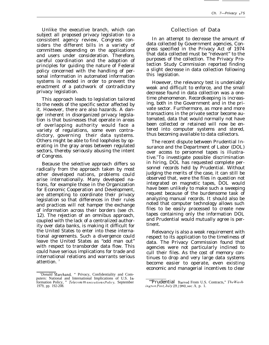Unlike the executive branch, which can subject all proposed privacy legislation to a consistent agency review, Congress considers the different bills in a variety of committees depending on the applications and users under consideration. Therefore, careful coordination and the adoption of principles for guiding the nature of Federal policy concerned with the handling of personal information in automated information systems is needed in order to prevent the enactment of a patchwork of contradictory privacy legislation.

This approach leads to legislation tailored to the needs of the specific sector affected by it. However, there are also hazards. A danger inherent in disorganized privacy legislation is that businesses that operate in areas of overlapping authority would face a variety of regulations, some even contradictory, governing their data systems. Others might be able to find loopholes by operating in the gray areas between regulated sectors, thereby seriously abusing the intent of Congress.

Because the selective approach differs so radically from the approach taken by most other developed nations, problems could arise internationally. Many developed nations, for example those in the Organization for Economic Cooperation and Development, are attempting to coordinate their privacy legislation so that differences in their rules and practices will not hamper the exchange of information across their borders (see ch. 12). The rejection of an omnibus approach, coupled with the lack of a centralized authority over data banks, is making it difficult for the United States to enter into these international agreements. Such a divergence could leave the United States as "odd man out" with respect to transborder data flow. This could have serious implications for trade and international relations and warrants serious attention.<sup>3</sup>

### Collection of Data

In an attempt to decrease the amount of data collected by Government agencies, Congress specified in the Privacy Act of 1974 that data collected must be "relevant" to the purposes of the collection. The Privacy Protection Study Commission reported finding a slight decrease in data collection following this legislation.

However, the relevancy test is undeniably weak and difficult to enforce, and the small decrease found in data collection was a onetime phenomenon. Recordkeeping is increasing, both in the Government and in the private sector. Furthermore, as more and more transactions in the private sector become automated, data that would normally not have been collected or retained will now be entered into computer systems and stored, thus becoming available to data collectors.

The recent dispute between Prudential Insurance and the Department of Labor (DOL) over access to personnel tapes is illustrative.<sup>4</sup>To investigate possible discrimination in hiring, DOL has requested complete personnel records held by Prudential. Without judging the merits of the case, it can still be observed that, were the files in question not integrated on magnetic tapes, DOL would have been unlikely to make such a sweeping request because of the burdensome task of analyzing manual records. It should also be noted that computer technology allows such files to be easily processed to create new tapes containing only the information DOL and Prudential would mutually agree is pertinent.

Relevancy is also a weak requirement with respect to its application to the timeliness of data. The Privacy Commission found that agencies were not particularly inclined to cull their files. As the cost of memory continues to drop and very large data systems become easier to operate, even existing economic and managerial incentives to clear

<sup>&#</sup>x27;Donald Marchand, " Privacy, Confidentiality and Computers: National and International Implications of U.S. information Policy, " Telecom m unications Policy, September 1979, pp. 192-208.

<sup>&</sup>quot;Prudential Barred From U.S. Contracts," The Wash*ington Post, July 29, 1980, sec. A. p. 1.*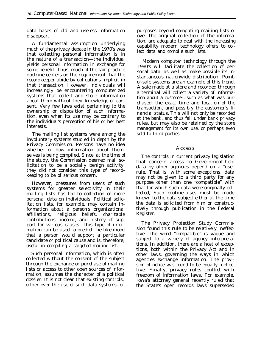data bases of old and useless information disappear.

A fundamental assumption underlying much of the privacy debate in the 1970's was that collecting personal information is in the nature of a transaction—the individual yields personal information in exchange for some benefit. Thus, much of the fair practice doctrine centers on the requirement that the recordkeeper abide by obligations implicit in that transaction. However, individuals will increasingly be encountering computerized systems that collect and store information about them without their knowledge or consent. Very few laws exist pertaining to the ownership or disposition of such information, even when its use may be contrary to the individual's perception of his or her best interests.

The mailing list systems were among the involuntary systems studied in depth by the Privacy Commission. Persons have no idea whether or how information about themselves is being compiled. Since, at the time of the study, the Commission deemed mail solicitation to be a socially benign activity, they did not consider this type of recordkeeping to be of serious concern.

However, pressures from users of such systems for greater selectivity in their mailing lists has led to collection of more personal data on individuals. Political solicitation lists, for example, may contain information about a person's organizational affiliations, religious beliefs, charitable contributions, income, and history of support for various causes. This type of information can be used to predict the likelihood that a person would support a particular candidate or political cause and is, therefore, useful in compiling a targeted mailing list.

Such personal information, which is often collected without the consent of the subject through the exchange or purchase of mailing lists or access to other open sources of information, assumes the character of a political dossier. It is not clear that existing controls, either over the use of such data systems for purposes beyond computing mailing lists or over the original collection of the information, are adequate to deal with the increasing capability modern technology offers to collect data and compile such lists.

Modern computer technology through the 1980's will facilitate the collection of personal data, as well as make possible its instantaneous nationwide distribution. Pointof-sale systems are an example of this trend. A sale made at a store and recorded through a terminal will collect a variety of information about a customer, such as what was purchased, the exact time and location of the transaction, and possibly the customer's financial status. This will not only be recorded at the bank, and thus fall under bank privacy rules, but may also be retained by the store management for its own use, or perhaps even sold to third parties.

#### **Access**

The controls in current privacy legislation that concern access to Government-held data by other agencies depend on a "use" rule. That is, with some exceptions, data may not be given to a third party for any purpose other than one "compatible" with that for which such data were originally collected, Such routine uses must be made known to the data subject either at the time the data is solicited from him or constructively through publication in the Federal Register.

The Privacy Protection Study Commission found this rule to be relatively ineffective. The word "compatible" is vague and subject to a variety of agency interpretations. In addition, there are a host of exceptions, both within the Privacy Act and in other laws, governing the ways in which agencies exchange information. The provision of notice was found to be equally ineffective. Finally, privacy rules conflict with freedom of information laws. For example, Iowa's attorney general recently ruled that the State's open records laws superseded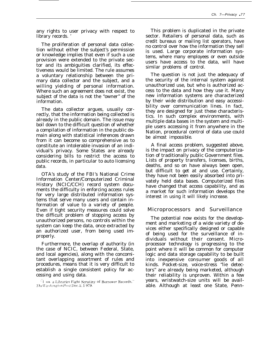any rights to user privacy with respect to library records. '

The proliferation of personal data collection without either the subject's permission or knowledge implies that even if such a use provision were extended to the private sector and its ambiguities clarified, its effectiveness would be limited. The rule assumes a voluntary relationship between the primary data collector and the subject, and a willing yielding of personal information. Where such an agreement does not exist, the subject of the data is not the "owner" of the information.

The data collector argues, usually correctly, that the information being collected is already in the public domain. The issue may boil down to the difficult question of whether a compilation of information in the public domain along with statistical inferences drawn from it can become so comprehensive as to constitute an intolerable invasion of an individual's privacy. Some States are already considering bills to restrict the access to public records, in particular to auto licensing data.

OTA's study of the FBI's National Crime Information Center/Computerized Criminal History (NCIC/CCH) record system documents the difficulty in enforcing access rules for very large distributed information systems that serve many users and contain information of value to a variety of people. Even if tight security measures could solve the difficult problem of stopping access by unauthorized persons, no controls within the system can keep the data, once extracted by an authorized user, from being used improperly.

Furthermore, the overlap of authority (in the case of NCIC, between Federal, State, and local agencies), along with the concomitant overlapping assortment of rules and procedures, means that it is very difficult to establish a single consistent policy for accessing and using data.

This problem is duplicated in the private sector. Retailers of personal data, such as credit bureaus or mailing list operators, have no control over how the information they sell is used. Large corporate information systems, where many employees or even outside users have access to the data, will have similar problems of control.

The question is not just the adequacy of the security of the internal system against unauthorized use, but who is authorized access to the data and how they use it. Many new information systems are characterized by their wide distribution and easy accessibility over communication lines. In fact, they are designed for just these characteristics. In such complex environments, with multiple data bases in the system and multiple users accessing it from anywhere in the Nation, procedural control of data use could be almost impossible.

A final access problem, suggested above, is the impact on privacy of the computerization of traditionally public Government files. Lists of property transfers, licenses, births, deaths, and so on have always been open, but difficult to get at and use. Certainly, they have not been easily absorbed into privately held data bases. Computerized files have changed that access capability, and as a market for such information develops the interest in using it will likely increase.

### Microprocessors and Surveillance

The potential now exists for the development and marketing of a wide variety of devices either specifically designed or capable of being used for the surveillance of individuals without their consent. Microprocessor technology is progressing to the point where it will be common for computer logic and data storage capability to be built into inexpensive consumer goods of all kinds. Pocket-size, voice-stress "lie detectors" are already being marketed, although their reliability is unproven. Within a few years, wristwatch-size units will be available. Although at least one State, Penn-

 $" I ~ow a Libraries$  Fight Scrutiny of Borrower Records," The Washington Post, Dec. 2, 1 979.